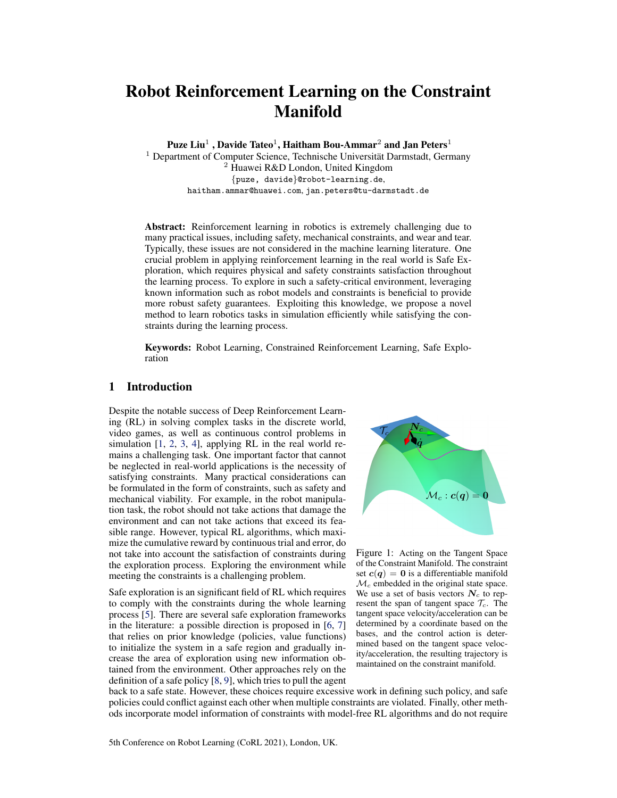# <span id="page-0-0"></span>Robot Reinforcement Learning on the Constraint Manifold

Puze Liu $^1$  , Davide Tateo $^1$ , Haitham Bou-Ammar $^2$  and Jan Peters $^1$ 

 $1$  Department of Computer Science, Technische Universität Darmstadt, Germany <sup>2</sup> Huawei R&D London, United Kingdom {puze, davide}@robot-learning.de, haitham.ammar@huawei.com, jan.peters@tu-darmstadt.de

Abstract: Reinforcement learning in robotics is extremely challenging due to many practical issues, including safety, mechanical constraints, and wear and tear. Typically, these issues are not considered in the machine learning literature. One crucial problem in applying reinforcement learning in the real world is Safe Exploration, which requires physical and safety constraints satisfaction throughout the learning process. To explore in such a safety-critical environment, leveraging known information such as robot models and constraints is beneficial to provide more robust safety guarantees. Exploiting this knowledge, we propose a novel method to learn robotics tasks in simulation efficiently while satisfying the constraints during the learning process.

Keywords: Robot Learning, Constrained Reinforcement Learning, Safe Exploration

# 1 Introduction

Despite the notable success of Deep Reinforcement Learning (RL) in solving complex tasks in the discrete world, video games, as well as continuous control problems in simulation [\[1,](#page-8-0) [2,](#page-8-0) [3,](#page-8-0) [4\]](#page-8-0), applying RL in the real world remains a challenging task. One important factor that cannot be neglected in real-world applications is the necessity of satisfying constraints. Many practical considerations can be formulated in the form of constraints, such as safety and mechanical viability. For example, in the robot manipulation task, the robot should not take actions that damage the environment and can not take actions that exceed its feasible range. However, typical RL algorithms, which maximize the cumulative reward by continuous trial and error, do not take into account the satisfaction of constraints during the exploration process. Exploring the environment while meeting the constraints is a challenging problem.

Safe exploration is an significant field of RL which requires to comply with the constraints during the whole learning process [\[5\]](#page-8-0). There are several safe exploration frameworks in the literature: a possible direction is proposed in [\[6,](#page-8-0) [7\]](#page-8-0) that relies on prior knowledge (policies, value functions) to initialize the system in a safe region and gradually increase the area of exploration using new information obtained from the environment. Other approaches rely on the definition of a safe policy [\[8,](#page-8-0) [9\]](#page-8-0), which tries to pull the agent



Figure 1: Acting on the Tangent Space of the Constraint Manifold. The constraint set  $c(q) = 0$  is a differentiable manifold  $\mathcal{M}_c$  embedded in the original state space. We use a set of basis vectors  $N_c$  to represent the span of tangent space  $\mathcal{T}_c$ . The tangent space velocity/acceleration can be determined by a coordinate based on the bases, and the control action is determined based on the tangent space velocity/acceleration, the resulting trajectory is maintained on the constraint manifold.

back to a safe state. However, these choices require excessive work in defining such policy, and safe policies could conflict against each other when multiple constraints are violated. Finally, other methods incorporate model information of constraints with model-free RL algorithms and do not require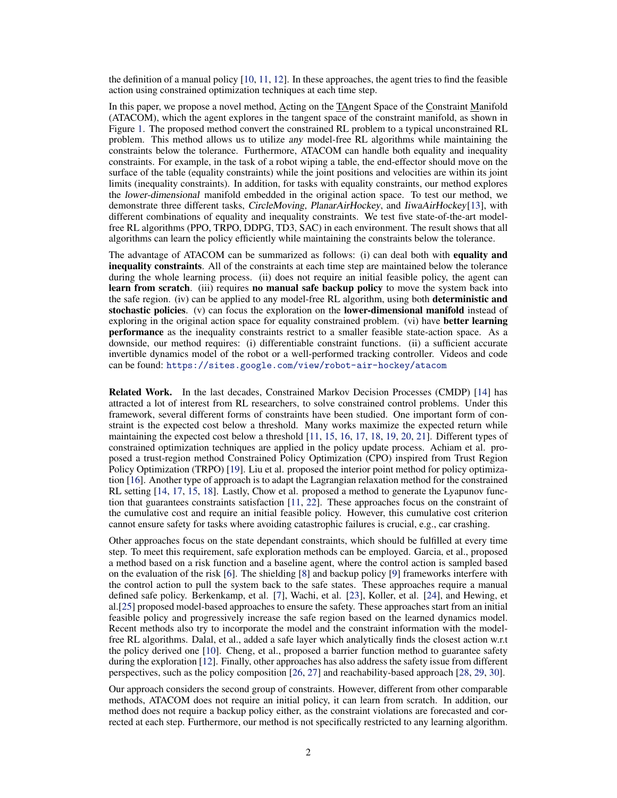the definition of a manual policy  $[10, 11, 12]$  $[10, 11, 12]$  $[10, 11, 12]$  $[10, 11, 12]$  $[10, 11, 12]$ . In these approaches, the agent tries to find the feasible action using constrained optimization techniques at each time step.

In this paper, we propose a novel method, Acting on the TAngent Space of the Constraint Manifold (ATACOM), which the agent explores in the tangent space of the constraint manifold, as shown in Figure [1.](#page-0-0) The proposed method convert the constrained RL problem to a typical unconstrained RL problem. This method allows us to utilize any model-free RL algorithms while maintaining the constraints below the tolerance. Furthermore, ATACOM can handle both equality and inequality constraints. For example, in the task of a robot wiping a table, the end-effector should move on the surface of the table (equality constraints) while the joint positions and velocities are within its joint limits (inequality constraints). In addition, for tasks with equality constraints, our method explores the lower-dimensional manifold embedded in the original action space. To test our method, we demonstrate three different tasks, CircleMoving, PlanarAirHockey, and IiwaAirHockey[\[13\]](#page-8-0), with different combinations of equality and inequality constraints. We test five state-of-the-art modelfree RL algorithms (PPO, TRPO, DDPG, TD3, SAC) in each environment. The result shows that all algorithms can learn the policy efficiently while maintaining the constraints below the tolerance.

The advantage of ATACOM can be summarized as follows: (i) can deal both with equality and inequality constraints. All of the constraints at each time step are maintained below the tolerance during the whole learning process. (ii) does not require an initial feasible policy, the agent can learn from scratch. (iii) requires no manual safe backup policy to move the system back into the safe region. (iv) can be applied to any model-free RL algorithm, using both deterministic and stochastic policies. (v) can focus the exploration on the lower-dimensional manifold instead of exploring in the original action space for equality constrained problem. (vi) have **better learning** performance as the inequality constraints restrict to a smaller feasible state-action space. As a downside, our method requires: (i) differentiable constraint functions. (ii) a sufficient accurate invertible dynamics model of the robot or a well-performed tracking controller. Videos and code can be found: <https://sites.google.com/view/robot-air-hockey/atacom>

Related Work. In the last decades, Constrained Markov Decision Processes (CMDP) [\[14\]](#page-8-0) has attracted a lot of interest from RL researchers, to solve constrained control problems. Under this framework, several different forms of constraints have been studied. One important form of constraint is the expected cost below a threshold. Many works maximize the expected return while maintaining the expected cost below a threshold [\[11,](#page-8-0) [15,](#page-8-0) [16,](#page-8-0) [17,](#page-9-0) [18,](#page-9-0) [19,](#page-9-0) [20,](#page-9-0) [21\]](#page-9-0). Different types of constrained optimization techniques are applied in the policy update process. Achiam et al. proposed a trust-region method Constrained Policy Optimization (CPO) inspired from Trust Region Policy Optimization (TRPO) [\[19\]](#page-9-0). Liu et al. proposed the interior point method for policy optimization [\[16\]](#page-8-0). Another type of approach is to adapt the Lagrangian relaxation method for the constrained RL setting [\[14,](#page-8-0) [17,](#page-9-0) [15,](#page-8-0) [18\]](#page-9-0). Lastly, Chow et al. proposed a method to generate the Lyapunov function that guarantees constraints satisfaction [\[11,](#page-8-0) [22\]](#page-9-0). These approaches focus on the constraint of the cumulative cost and require an initial feasible policy. However, this cumulative cost criterion cannot ensure safety for tasks where avoiding catastrophic failures is crucial, e.g., car crashing.

Other approaches focus on the state dependant constraints, which should be fulfilled at every time step. To meet this requirement, safe exploration methods can be employed. Garcia, et al., proposed a method based on a risk function and a baseline agent, where the control action is sampled based on the evaluation of the risk [\[6\]](#page-8-0). The shielding [\[8\]](#page-8-0) and backup policy [\[9\]](#page-8-0) frameworks interfere with the control action to pull the system back to the safe states. These approaches require a manual defined safe policy. Berkenkamp, et al. [\[7\]](#page-8-0), Wachi, et al. [\[23\]](#page-9-0), Koller, et al. [\[24\]](#page-9-0), and Hewing, et al.[\[25\]](#page-9-0) proposed model-based approaches to ensure the safety. These approaches start from an initial feasible policy and progressively increase the safe region based on the learned dynamics model. Recent methods also try to incorporate the model and the constraint information with the modelfree RL algorithms. Dalal, et al., added a safe layer which analytically finds the closest action w.r.t the policy derived one [\[10\]](#page-8-0). Cheng, et al., proposed a barrier function method to guarantee safety during the exploration [\[12\]](#page-8-0). Finally, other approaches has also address the safety issue from different perspectives, such as the policy composition [\[26,](#page-9-0) [27\]](#page-9-0) and reachability-based approach [\[28,](#page-9-0) [29,](#page-9-0) [30\]](#page-9-0).

Our approach considers the second group of constraints. However, different from other comparable methods, ATACOM does not require an initial policy, it can learn from scratch. In addition, our method does not require a backup policy either, as the constraint violations are forecasted and corrected at each step. Furthermore, our method is not specifically restricted to any learning algorithm.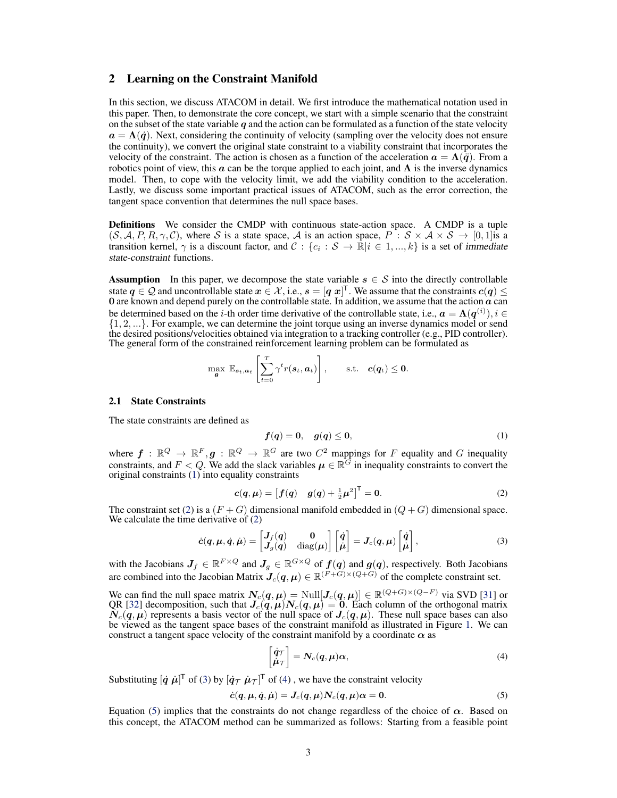## <span id="page-2-0"></span>2 Learning on the Constraint Manifold

In this section, we discuss ATACOM in detail. We first introduce the mathematical notation used in this paper. Then, to demonstrate the core concept, we start with a simple scenario that the constraint on the subset of the state variable q and the action can be formulated as a function of the state velocity  $a = \Lambda(\dot{q})$ . Next, considering the continuity of velocity (sampling over the velocity does not ensure the continuity), we convert the original state constraint to a viability constraint that incorporates the velocity of the constraint. The action is chosen as a function of the acceleration  $\mathbf{a} = \Lambda(\mathbf{\ddot{q}})$ . From a robotics point of view, this  $\alpha$  can be the torque applied to each joint, and  $\Lambda$  is the inverse dynamics model. Then, to cope with the velocity limit, we add the viability condition to the acceleration. Lastly, we discuss some important practical issues of ATACOM, such as the error correction, the tangent space convention that determines the null space bases.

Definitions We consider the CMDP with continuous state-action space. A CMDP is a tuple  $(S, A, P, R, \gamma, C)$ , where S is a state space, A is an action space,  $P : S \times A \times S \rightarrow [0, 1]$  is a transition kernel,  $\gamma$  is a discount factor, and  $C: \{c_i : S \to \mathbb{R} | i \in 1, ..., k\}$  is a set of immediate state-constraint functions.

**Assumption** In this paper, we decompose the state variable  $s \in S$  into the directly controllable state  $q \in \mathcal{Q}$  and uncontrollable state  $x \in \mathcal{X}$ , i.e.,  $s = [q \ x]^\top$ . We assume that the constraints  $c(q) \le 0$  are known and depend purely on the controllable state. In addition, we assume that the action  $a$  can be determined based on the *i*-th order time derivative of the controllable state, i.e.,  $\mathbf{a} = \Lambda(\mathbf{q}^{(i)}), i \in$ {1, 2, ...}. For example, we can determine the joint torque using an inverse dynamics model or send the desired positions/velocities obtained via integration to a tracking controller (e.g., PID controller). The general form of the constrained reinforcement learning problem can be formulated as

$$
\max_{\boldsymbol{\theta}} \ \mathbb{E}_{\boldsymbol{s}_t, \boldsymbol{a}_t} \left[ \sum_{t=0}^T \gamma^t r(\boldsymbol{s}_t, \boldsymbol{a}_t) \right], \qquad \text{s.t.} \quad \boldsymbol{c}(\boldsymbol{q}_t) \leq \boldsymbol{0}.
$$

#### 2.1 State Constraints

The state constraints are defined as

$$
f(q) = 0, \quad g(q) \le 0,\tag{1}
$$

where  $f : \mathbb{R}^Q \to \mathbb{R}^F, g : \mathbb{R}^Q \to \mathbb{R}^G$  are two  $C^2$  mappings for F equality and G inequality constraints, and  $F < Q$ . We add the slack variables  $\mu \in \mathbb{R}^{\widehat{G}}$  in inequality constraints to convert the original constraints (1) into equality constraints

$$
c(q, \mu) = [f(q) \quad g(q) + \frac{1}{2}\mu^2]^\top = 0.
$$
 (2)

The constraint set (2) is a  $(F+G)$  dimensional manifold embedded in  $(Q+G)$  dimensional space. We calculate the time derivative of (2)

$$
\dot{c}(q,\mu,\dot{q},\dot{\mu}) = \begin{bmatrix} J_f(q) & 0 \\ J_g(q) & \text{diag}(\mu) \end{bmatrix} \begin{bmatrix} \dot{q} \\ \dot{\mu} \end{bmatrix} = J_c(q,\mu) \begin{bmatrix} \dot{q} \\ \dot{\mu} \end{bmatrix},
$$
\n(3)

with the Jacobians  $J_f \in \mathbb{R}^{F \times Q}$  and  $J_g \in \mathbb{R}^{G \times Q}$  of  $f(q)$  and  $g(q)$ , respectively. Both Jacobians are combined into the Jacobian Matrix  $J_c(q, \mu) \in \mathbb{R}^{(F+G)\times (Q+G)}$  of the complete constraint set.

We can find the null space matrix  $N_c(q, \mu) = \text{Null}[J_c(q, \mu)] \in \mathbb{R}^{(Q+G)\times(Q-F)}$  via SVD [\[31\]](#page-9-0) or QR [\[32\]](#page-9-0) decomposition, such that  $J_c(q, \mu)N_c(q, \mu) = 0$ . Each column of the orthogonal matrix  $\tilde{N}_c(q, \mu)$  represents a basis vector of the null space of  $J_c(q, \mu)$ . These null space bases can also be viewed as the tangent space bases of the constraint manifold as illustrated in Figure [1.](#page-0-0) We can construct a tangent space velocity of the constraint manifold by a coordinate  $\alpha$  as

$$
\begin{bmatrix} \dot{q}\tau \\ \dot{\mu}\tau \end{bmatrix} = \mathbf{N}_c(\mathbf{q}, \mu)\alpha, \tag{4}
$$

Substituting  $[\dot{q} \ \dot{\mu}]^T$  of (3) by  $[\dot{q}_T \ \dot{\mu}_T]^T$  of (4), we have the constraint velocity

$$
\dot{c}(q,\mu,\dot{q},\dot{\mu})=J_c(q,\mu)N_c(q,\mu)\alpha=0. \hspace{1.5cm} (5)
$$

Equation (5) implies that the constraints do not change regardless of the choice of  $\alpha$ . Based on this concept, the ATACOM method can be summarized as follows: Starting from a feasible point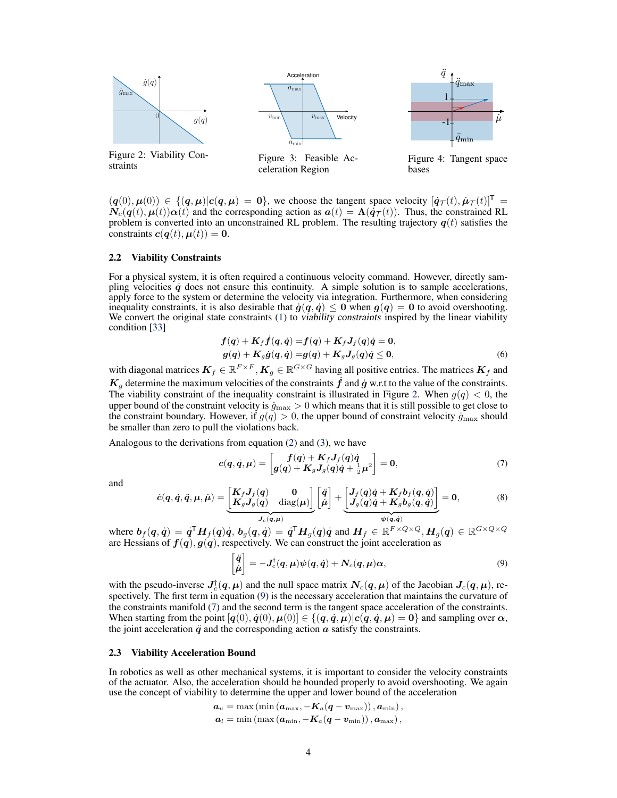<span id="page-3-0"></span>

 $(q(0), \mu(0)) \in \{(\mathbf{q}, \mu) | c(\mathbf{q}, \mu) = 0\}$ , we choose the tangent space velocity  $[\dot{q}\tau(t), \dot{\mu}\tau(t)]^{\mathsf{T}} =$  $\mathbf{N}_{c}(q(t), \mu(t))\alpha(t)$  and the corresponding action as  $\alpha(t) = \Lambda(\dot{q}\tau(t))$ . Thus, the constrained RL problem is converted into an unconstrained RL problem. The resulting trajectory  $q(t)$  satisfies the constraints  $c(q(t), \mu(t)) = 0$ .

#### 2.2 Viability Constraints

For a physical system, it is often required a continuous velocity command. However, directly sampling velocities  $\dot{q}$  does not ensure this continuity. A simple solution is to sample accelerations, apply force to the system or determine the velocity via integration. Furthermore, when considering inequality constraints, it is also desirable that  $\dot{g}(q, \dot{q}) \leq 0$  when  $g(q) = 0$  to avoid overshooting. We convert the original state constraints [\(1\)](#page-2-0) to *viability constraints* inspired by the linear viability condition [\[33\]](#page-9-0)

$$
f(q) + K_f \dot{f}(q, \dot{q}) = f(q) + K_f J_f(q) \dot{q} = 0,
$$
  
\n
$$
g(q) + K_g \dot{g}(q, \dot{q}) = g(q) + K_g J_g(q) \dot{q} \le 0,
$$
\n(6)

with diagonal matrices  $K_f \in \mathbb{R}^{F \times F}$ ,  $K_g \in \mathbb{R}^{G \times G}$  having all positive entries. The matrices  $K_f$  and  $K_q$  determine the maximum velocities of the constraints  $\hat{f}$  and  $\hat{g}$  w.r.t to the value of the constraints. The viability constraint of the inequality constraint is illustrated in Figure 2. When  $g(q) < 0$ , the upper bound of the constraint velocity is  $\dot{g}_{\text{max}} > 0$  which means that it is still possible to get close to the constraint boundary. However, if  $g(q) > 0$ , the upper bound of constraint velocity  $\dot{g}_{\text{max}}$  should be smaller than zero to pull the violations back.

Analogous to the derivations from equation [\(2\)](#page-2-0) and [\(3\)](#page-2-0), we have

$$
c(q,\dot{q},\mu) = \begin{bmatrix} f(q) + K_f J_f(q)\dot{q} \\ g(q) + K_g J_g(q)\dot{q} + \frac{1}{2}\mu^2 \end{bmatrix} = 0, \tag{7}
$$

and

$$
\dot{c}(q,\dot{q},\ddot{q},\mu,\dot{\mu}) = \underbrace{\begin{bmatrix} K_f J_f(q) & 0 \\ K_g J_g(q) & \text{diag}(\mu) \end{bmatrix}}_{J_c(q,\mu)} \begin{bmatrix} \ddot{q} \\ \dot{\mu} \end{bmatrix} + \underbrace{\begin{bmatrix} J_f(q)\dot{q} + K_f b_f(q,\dot{q}) \\ J_g(q)\dot{q} + K_g b_g(q,\dot{q}) \end{bmatrix}}_{\psi(q,\dot{q})} = 0, \tag{8}
$$

where  $\mathbf{b}_f(q, \dot{q}) = \dot{q}^{\mathsf{T}} \mathbf{H}_f(q) \dot{q}$ ,  $\mathbf{b}_g(q, \dot{q}) = \dot{q}^{\mathsf{T}} \mathbf{H}_g(q) \dot{q}$  and  $\mathbf{H}_f \in \mathbb{R}^{F \times Q \times Q}$ ,  $\mathbf{H}_g(q) \in \mathbb{R}^{G \times Q \times Q}$ are Hessians of  $f(q)$ ,  $g(q)$ , respectively. We can construct the joint acceleration as

$$
\begin{bmatrix} \ddot{q} \\ \dot{\mu} \end{bmatrix} = -J_c^{\dagger}(q,\mu)\psi(q,\dot{q}) + N_c(q,\mu)\alpha,
$$
\n(9)

with the pseudo-inverse  $J_c^{\dagger}(q,\mu)$  and the null space matrix  $N_c(q,\mu)$  of the Jacobian  $J_c(q,\mu)$ , respectively. The first term in equation (9) is the necessary acceleration that maintains the curvature of the constraints manifold (7) and the second term is the tangent space acceleration of the constraints. When starting from the point  $[q(0), \dot{q}(0), \mu(0)] \in \{(q, \dot{q}, \mu) | c(q, \dot{q}, \mu) = 0\}$  and sampling over  $\alpha$ , the joint acceleration  $\ddot{q}$  and the corresponding action  $a$  satisfy the constraints.

## 2.3 Viability Acceleration Bound

In robotics as well as other mechanical systems, it is important to consider the velocity constraints of the actuator. Also, the acceleration should be bounded properly to avoid overshooting. We again use the concept of viability to determine the upper and lower bound of the acceleration

$$
a_u = \max(\min(a_{\max}, -K_a(q-v_{\max})), a_{\min}),
$$
  

$$
a_l = \min(\max(a_{\min}, -K_a(q-v_{\min})), a_{\max}),
$$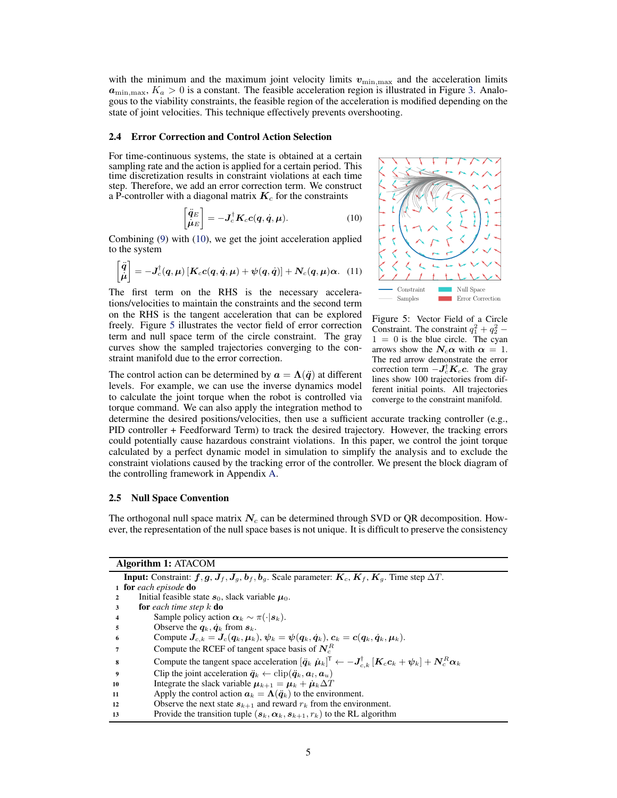<span id="page-4-0"></span>with the minimum and the maximum joint velocity limits  $v_{\text{min,max}}$  and the acceleration limits  $a_{\text{min,max}}$ ,  $K_a > 0$  is a constant. The feasible acceleration region is illustrated in Figure [3.](#page-3-0) Analogous to the viability constraints, the feasible region of the acceleration is modified depending on the state of joint velocities. This technique effectively prevents overshooting.

## 2.4 Error Correction and Control Action Selection

For time-continuous systems, the state is obtained at a certain sampling rate and the action is applied for a certain period. This time discretization results in constraint violations at each time step. Therefore, we add an error correction term. We construct a P-controller with a diagonal matrix  $K_c$  for the constraints

$$
\begin{bmatrix} \ddot{q}_E \\ \dot{\mu}_E \end{bmatrix} = -\mathbf{J}_c^{\dagger} \mathbf{K}_c \mathbf{c} (\mathbf{q}, \dot{\mathbf{q}}, \mu).
$$
 (10)

Combining [\(9\)](#page-3-0) with (10), we get the joint acceleration applied to the system

$$
\begin{bmatrix} \ddot{q} \\ \dot{\mu} \end{bmatrix} = -J_c^{\dagger}(q,\mu) \left[ K_c c(q,\dot{q},\mu) + \psi(q,\dot{q}) \right] + N_c(q,\mu) \alpha. \quad (11)
$$

The first term on the RHS is the necessary accelerations/velocities to maintain the constraints and the second term on the RHS is the tangent acceleration that can be explored freely. Figure 5 illustrates the vector field of error correction term and null space term of the circle constraint. The gray curves show the sampled trajectories converging to the constraint manifold due to the error correction.

The control action can be determined by  $a = \Lambda(\ddot{q})$  at different levels. For example, we can use the inverse dynamics model to calculate the joint torque when the robot is controlled via torque command. We can also apply the integration method to



Figure 5: Vector Field of a Circle Constraint. The constraint  $q_1^2 + q_2^2$  –  $1 = 0$  is the blue circle. The cyan arrows show the  $N_c \alpha$  with  $\alpha = 1$ . The red arrow demonstrate the error correction term  $-J_c^{\dagger}K_c c$ . The gray lines show 100 trajectories from different initial points. All trajectories converge to the constraint manifold.

determine the desired positions/velocities, then use a sufficient accurate tracking controller (e.g., PID controller + Feedforward Term) to track the desired trajectory. However, the tracking errors could potentially cause hazardous constraint violations. In this paper, we control the joint torque calculated by a perfect dynamic model in simulation to simplify the analysis and to exclude the constraint violations caused by the tracking error of the controller. We present the block diagram of the controlling framework in Appendix A.

## 2.5 Null Space Convention

The orthogonal null space matrix  $N_c$  can be determined through SVD or OR decomposition. However, the representation of the null space bases is not unique. It is difficult to preserve the consistency

| <b>Algorithm 1: ATACOM</b>                                                                                                                     |  |
|------------------------------------------------------------------------------------------------------------------------------------------------|--|
| <b>Input:</b> Constraint: $f, g, J_f, J_g, b_f, b_g$ . Scale parameter: $K_c, K_f, K_g$ . Time step $\Delta T$ .                               |  |
| 1 for each episode do                                                                                                                          |  |
| Initial feasible state $s_0$ , slack variable $\mu_0$ .<br>2                                                                                   |  |
| <b>for</b> each time step $k$ <b>do</b><br>3                                                                                                   |  |
| Sample policy action $\alpha_k \sim \pi(\cdot   s_k)$ .<br>4                                                                                   |  |
| Observe the $q_k$ , $\dot{q}_k$ from $s_k$ .<br>5                                                                                              |  |
| Compute $J_{c,k} = J_c(q_k, \mu_k)$ , $\psi_k = \psi(q_k, \dot{q}_k)$ , $c_k = c(q_k, \dot{q}_k, \mu_k)$ .<br>6                                |  |
| Compute the RCEF of tangent space basis of $N_c^R$                                                                                             |  |
| Compute the tangent space acceleration $[\ddot{q}_k \dot{\mu}_k]^T \leftarrow -J_{c k}^{\dagger} [K_c c_k + \psi_k] + N_c^R \alpha_k$<br>8     |  |
| Clip the joint acceleration $\ddot{\boldsymbol{q}}_k \leftarrow \text{clip}(\ddot{\boldsymbol{q}}_k, \boldsymbol{a}_l, \boldsymbol{a}_u)$<br>9 |  |
| Integrate the slack variable $\mu_{k+1} = \mu_k + \mu_k \Delta T$<br>10                                                                        |  |
| Apply the control action $a_k = \Lambda(\ddot{q}_k)$ to the environment.<br>11                                                                 |  |
| Observe the next state $s_{k+1}$ and reward $r_k$ from the environment.<br>12                                                                  |  |
| Provide the transition tuple $(s_k, \alpha_k, s_{k+1}, r_k)$ to the RL algorithm<br>13                                                         |  |
|                                                                                                                                                |  |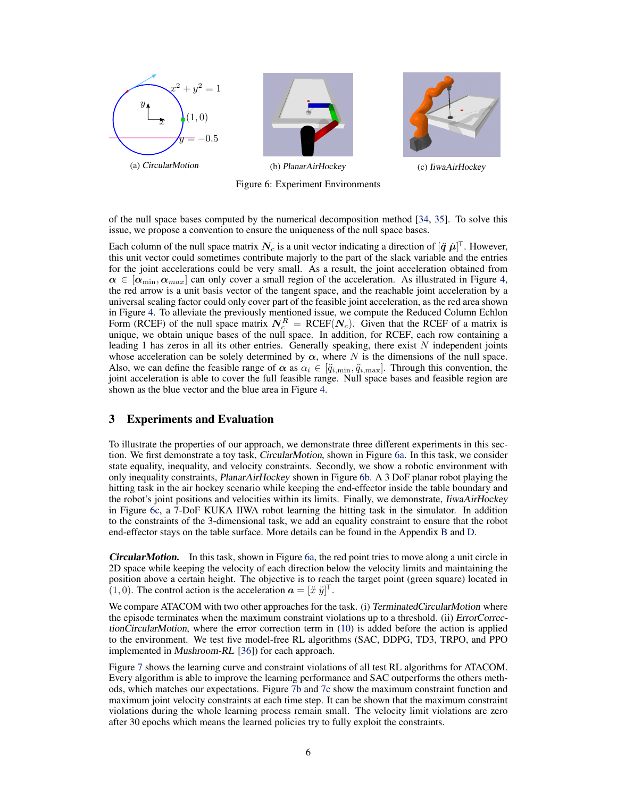<span id="page-5-0"></span>

Figure 6: Experiment Environments

of the null space bases computed by the numerical decomposition method [\[34,](#page-9-0) [35\]](#page-9-0). To solve this issue, we propose a convention to ensure the uniqueness of the null space bases.

Each column of the null space matrix  $N_c$  is a unit vector indicating a direction of  $[\ddot{q} \ \dot{\mu}]^\text{T}$ . However, this unit vector could sometimes contribute majorly to the part of the slack variable and the entries for the joint accelerations could be very small. As a result, the joint acceleration obtained from  $\alpha \in [\alpha_{\min}, \alpha_{max}]$  can only cover a small region of the acceleration. As illustrated in Figure [4,](#page-3-0) the red arrow is a unit basis vector of the tangent space, and the reachable joint acceleration by a universal scaling factor could only cover part of the feasible joint acceleration, as the red area shown in Figure [4.](#page-3-0) To alleviate the previously mentioned issue, we compute the Reduced Column Echlon Form (RCEF) of the null space matrix  $N_c^R = RCEF(N_c)$ . Given that the RCEF of a matrix is unique, we obtain unique bases of the null space. In addition, for RCEF, each row containing a leading 1 has zeros in all its other entries. Generally speaking, there exist  $N$  independent joints whose acceleration can be solely determined by  $\alpha$ , where N is the dimensions of the null space. Also, we can define the feasible range of  $\alpha$  as  $\alpha_i \in [\ddot{q}_{i,\text{min}}, \ddot{q}_{i,\text{max}}]$ . Through this convention, the joint acceleration is able to cover the full feasible range. Null space bases and feasible region are shown as the blue vector and the blue area in Figure [4.](#page-3-0)

# 3 Experiments and Evaluation

To illustrate the properties of our approach, we demonstrate three different experiments in this section. We first demonstrate a toy task, CircularMotion, shown in Figure 6a. In this task, we consider state equality, inequality, and velocity constraints. Secondly, we show a robotic environment with only inequality constraints, PlanarAirHockey shown in Figure 6b. A 3 DoF planar robot playing the hitting task in the air hockey scenario while keeping the end-effector inside the table boundary and the robot's joint positions and velocities within its limits. Finally, we demonstrate, IiwaAirHockey in Figure 6c, a 7-DoF KUKA IIWA robot learning the hitting task in the simulator. In addition to the constraints of the 3-dimensional task, we add an equality constraint to ensure that the robot end-effector stays on the table surface. More details can be found in the Appendix B and D.

**CircularMotion.** In this task, shown in Figure 6a, the red point tries to move along a unit circle in 2D space while keeping the velocity of each direction below the velocity limits and maintaining the position above a certain height. The objective is to reach the target point (green square) located in  $(1, 0)$ . The control action is the acceleration  $\mathbf{a} = [\ddot{x} \ \ddot{y}]^{\mathsf{T}}$ .

We compare ATACOM with two other approaches for the task. (i) TerminatedCircularMotion where the episode terminates when the maximum constraint violations up to a threshold. (ii) ErrorCorrectionCircularMotion, where the error correction term in [\(10\)](#page-4-0) is added before the action is applied to the environment. We test five model-free RL algorithms (SAC, DDPG, TD3, TRPO, and PPO implemented in Mushroom-RL [\[36\]](#page-9-0)) for each approach.

Figure [7](#page-6-0) shows the learning curve and constraint violations of all test RL algorithms for ATACOM. Every algorithm is able to improve the learning performance and SAC outperforms the others methods, which matches our expectations. Figure [7b](#page-6-0) and [7c](#page-6-0) show the maximum constraint function and maximum joint velocity constraints at each time step. It can be shown that the maximum constraint violations during the whole learning process remain small. The velocity limit violations are zero after 30 epochs which means the learned policies try to fully exploit the constraints.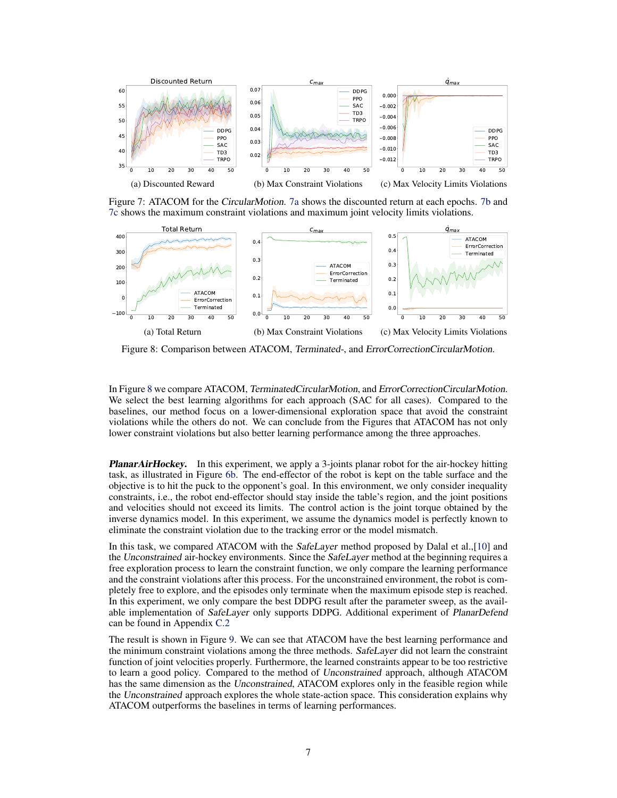<span id="page-6-0"></span>

Figure 7: ATACOM for the CircularMotion. 7a shows the discounted return at each epochs. 7b and 7c shows the maximum constraint violations and maximum joint velocity limits violations.



Figure 8: Comparison between ATACOM, Terminated-, and ErrorCorrectionCircularMotion.

In Figure 8 we compare ATACOM, TerminatedCircularMotion, and ErrorCorrectionCircularMotion. We select the best learning algorithms for each approach (SAC for all cases). Compared to the baselines, our method focus on a lower-dimensional exploration space that avoid the constraint violations while the others do not. We can conclude from the Figures that ATACOM has not only lower constraint violations but also better learning performance among the three approaches.

**PlanarAirHockey.** In this experiment, we apply a 3-joints planar robot for the air-hockey hitting task, as illustrated in Figure [6b.](#page-5-0) The end-effector of the robot is kept on the table surface and the objective is to hit the puck to the opponent's goal. In this environment, we only consider inequality constraints, i.e., the robot end-effector should stay inside the table's region, and the joint positions and velocities should not exceed its limits. The control action is the joint torque obtained by the inverse dynamics model. In this experiment, we assume the dynamics model is perfectly known to eliminate the constraint violation due to the tracking error or the model mismatch.

In this task, we compared ATACOM with the SafeLayer method proposed by Dalal et al.,[\[10\]](#page-8-0) and the Unconstrained air-hockey environments. Since the SafeLayer method at the beginning requires a free exploration process to learn the constraint function, we only compare the learning performance and the constraint violations after this process. For the unconstrained environment, the robot is completely free to explore, and the episodes only terminate when the maximum episode step is reached. In this experiment, we only compare the best DDPG result after the parameter sweep, as the available implementation of SafeLayer only supports DDPG. Additional experiment of PlanarDefend can be found in Appendix C.2

The result is shown in Figure [9.](#page-7-0) We can see that ATACOM have the best learning performance and the minimum constraint violations among the three methods. SafeLayer did not learn the constraint function of joint velocities properly. Furthermore, the learned constraints appear to be too restrictive to learn a good policy. Compared to the method of Unconstrained approach, although ATACOM has the same dimension as the Unconstrained, ATACOM explores only in the feasible region while the Unconstrained approach explores the whole state-action space. This consideration explains why ATACOM outperforms the baselines in terms of learning performances.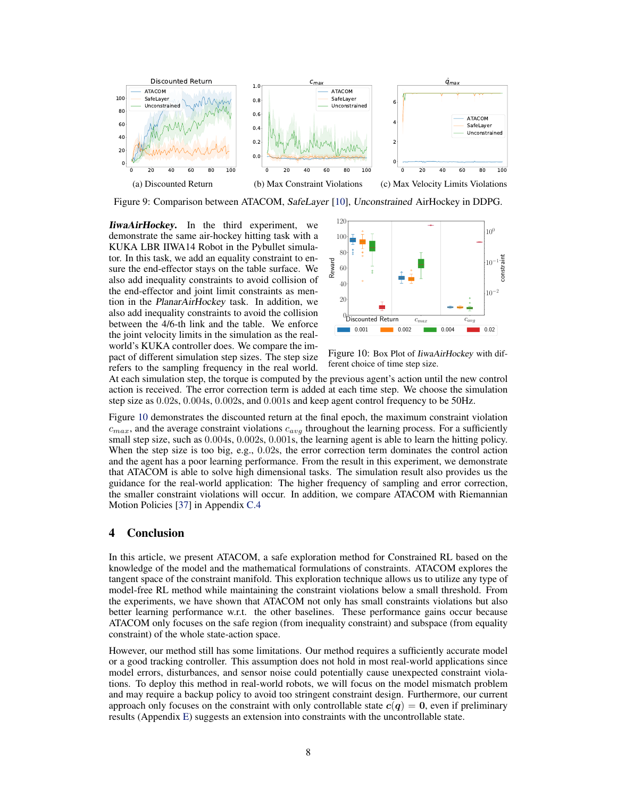<span id="page-7-0"></span>

Figure 9: Comparison between ATACOM, SafeLayer [\[10\]](#page-8-0), Unconstrained AirHockey in DDPG.

**IiwaAirHockey.** In the third experiment, we demonstrate the same air-hockey hitting task with a KUKA LBR IIWA14 Robot in the Pybullet simulator. In this task, we add an equality constraint to ensure the end-effector stays on the table surface. We also add inequality constraints to avoid collision of the end-effector and joint limit constraints as mention in the PlanarAirHockey task. In addition, we also add inequality constraints to avoid the collision between the 4/6-th link and the table. We enforce the joint velocity limits in the simulation as the realworld's KUKA controller does. We compare the impact of different simulation step sizes. The step size refers to the sampling frequency in the real world.



Figure 10: Box Plot of IiwaAirHockey with different choice of time step size.

At each simulation step, the torque is computed by the previous agent's action until the new control action is received. The error correction term is added at each time step. We choose the simulation step size as 0.02s, 0.004s, 0.002s, and 0.001s and keep agent control frequency to be 50Hz.

Figure 10 demonstrates the discounted return at the final epoch, the maximum constraint violation  $c_{max}$ , and the average constraint violations  $c_{avg}$  throughout the learning process. For a sufficiently small step size, such as  $0.004$ s,  $0.002$ s,  $0.001$ s, the learning agent is able to learn the hitting policy. When the step size is too big, e.g., 0.02s, the error correction term dominates the control action and the agent has a poor learning performance. From the result in this experiment, we demonstrate that ATACOM is able to solve high dimensional tasks. The simulation result also provides us the guidance for the real-world application: The higher frequency of sampling and error correction, the smaller constraint violations will occur. In addition, we compare ATACOM with Riemannian Motion Policies [\[37\]](#page-9-0) in Appendix C.4

## 4 Conclusion

In this article, we present ATACOM, a safe exploration method for Constrained RL based on the knowledge of the model and the mathematical formulations of constraints. ATACOM explores the tangent space of the constraint manifold. This exploration technique allows us to utilize any type of model-free RL method while maintaining the constraint violations below a small threshold. From the experiments, we have shown that ATACOM not only has small constraints violations but also better learning performance w.r.t. the other baselines. These performance gains occur because ATACOM only focuses on the safe region (from inequality constraint) and subspace (from equality constraint) of the whole state-action space.

However, our method still has some limitations. Our method requires a sufficiently accurate model or a good tracking controller. This assumption does not hold in most real-world applications since model errors, disturbances, and sensor noise could potentially cause unexpected constraint violations. To deploy this method in real-world robots, we will focus on the model mismatch problem and may require a backup policy to avoid too stringent constraint design. Furthermore, our current approach only focuses on the constraint with only controllable state  $c(q) = 0$ , even if preliminary results (Appendix E) suggests an extension into constraints with the uncontrollable state.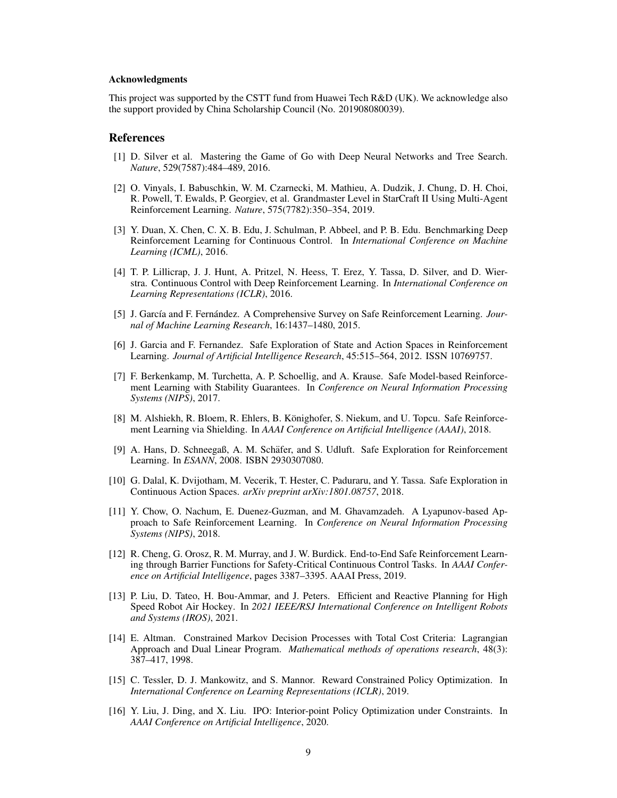### <span id="page-8-0"></span>Acknowledgments

This project was supported by the CSTT fund from Huawei Tech R&D (UK). We acknowledge also the support provided by China Scholarship Council (No. 201908080039).

## References

- [1] D. Silver et al. Mastering the Game of Go with Deep Neural Networks and Tree Search. *Nature*, 529(7587):484–489, 2016.
- [2] O. Vinyals, I. Babuschkin, W. M. Czarnecki, M. Mathieu, A. Dudzik, J. Chung, D. H. Choi, R. Powell, T. Ewalds, P. Georgiev, et al. Grandmaster Level in StarCraft II Using Multi-Agent Reinforcement Learning. *Nature*, 575(7782):350–354, 2019.
- [3] Y. Duan, X. Chen, C. X. B. Edu, J. Schulman, P. Abbeel, and P. B. Edu. Benchmarking Deep Reinforcement Learning for Continuous Control. In *International Conference on Machine Learning (ICML)*, 2016.
- [4] T. P. Lillicrap, J. J. Hunt, A. Pritzel, N. Heess, T. Erez, Y. Tassa, D. Silver, and D. Wierstra. Continuous Control with Deep Reinforcement Learning. In *International Conference on Learning Representations (ICLR)*, 2016.
- [5] J. García and F. Fernández. A Comprehensive Survey on Safe Reinforcement Learning. *Journal of Machine Learning Research*, 16:1437–1480, 2015.
- [6] J. Garcia and F. Fernandez. Safe Exploration of State and Action Spaces in Reinforcement Learning. *Journal of Artificial Intelligence Research*, 45:515–564, 2012. ISSN 10769757.
- [7] F. Berkenkamp, M. Turchetta, A. P. Schoellig, and A. Krause. Safe Model-based Reinforcement Learning with Stability Guarantees. In *Conference on Neural Information Processing Systems (NIPS)*, 2017.
- [8] M. Alshiekh, R. Bloem, R. Ehlers, B. Könighofer, S. Niekum, and U. Topcu. Safe Reinforcement Learning via Shielding. In *AAAI Conference on Artificial Intelligence (AAAI)*, 2018.
- [9] A. Hans, D. Schneegaß, A. M. Schäfer, and S. Udluft. Safe Exploration for Reinforcement Learning. In *ESANN*, 2008. ISBN 2930307080.
- [10] G. Dalal, K. Dvijotham, M. Vecerik, T. Hester, C. Paduraru, and Y. Tassa. Safe Exploration in Continuous Action Spaces. *arXiv preprint arXiv:1801.08757*, 2018.
- [11] Y. Chow, O. Nachum, E. Duenez-Guzman, and M. Ghavamzadeh. A Lyapunov-based Approach to Safe Reinforcement Learning. In *Conference on Neural Information Processing Systems (NIPS)*, 2018.
- [12] R. Cheng, G. Orosz, R. M. Murray, and J. W. Burdick. End-to-End Safe Reinforcement Learning through Barrier Functions for Safety-Critical Continuous Control Tasks. In *AAAI Conference on Artificial Intelligence*, pages 3387–3395. AAAI Press, 2019.
- [13] P. Liu, D. Tateo, H. Bou-Ammar, and J. Peters. Efficient and Reactive Planning for High Speed Robot Air Hockey. In *2021 IEEE/RSJ International Conference on Intelligent Robots and Systems (IROS)*, 2021.
- [14] E. Altman. Constrained Markov Decision Processes with Total Cost Criteria: Lagrangian Approach and Dual Linear Program. *Mathematical methods of operations research*, 48(3): 387–417, 1998.
- [15] C. Tessler, D. J. Mankowitz, and S. Mannor. Reward Constrained Policy Optimization. In *International Conference on Learning Representations (ICLR)*, 2019.
- [16] Y. Liu, J. Ding, and X. Liu. IPO: Interior-point Policy Optimization under Constraints. In *AAAI Conference on Artificial Intelligence*, 2020.